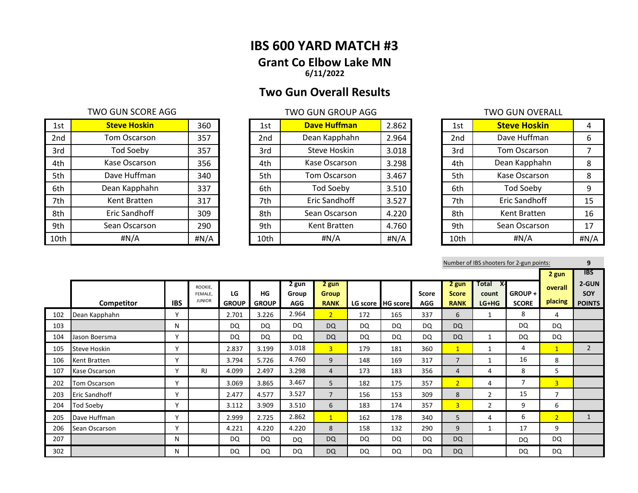# **IBS 600 YARD MATCH #3 Grant Co Elbow Lake MN 6/11/2022**

# **Two Gun Overall Results**

## TWO GUN SCORE AGG TWO GUN GROUP AGG TWO GUN GROUP AGG

| 1st  | <b>Steve Hoskin</b> | 360  | 1st  | <b>Dave Huffman</b> | 2.862 | 1st  | <b>Steve Hoskin</b> | 4     |
|------|---------------------|------|------|---------------------|-------|------|---------------------|-------|
| 2nd  | Tom Oscarson        | 357  | 2nd  | Dean Kapphahn       | 2.964 | 2nd  | Dave Huffman        | 6     |
| 3rd  | Tod Soeby           | 357  | 3rd  | Steve Hoskin        | 3.018 | 3rd  | Tom Oscarson        |       |
| 4th  | Kase Oscarson       | 356  | 4th  | Kase Oscarson       | 3.298 | 4th  | Dean Kapphahn       | 8     |
| 5th  | Dave Huffman        | 340  | 5th  | Tom Oscarson        | 3.467 | 5th  | Kase Oscarson       | 8     |
| 6th  | Dean Kapphahn       | 337  | 6th  | <b>Tod Soeby</b>    | 3.510 | 6th  | <b>Tod Soeby</b>    | 9     |
| 7th  | Kent Bratten        | 317  | 7th  | Eric Sandhoff       | 3.527 | 7th  | Eric Sandhoff       | 15    |
| 8th  | Eric Sandhoff       | 309  | 8th  | Sean Oscarson       | 4.220 | 8th  | Kent Bratten        | 16    |
| 9th  | Sean Oscarson       | 290  | 9th  | Kent Bratten        | 4.760 | 9th  | Sean Oscarson       | 17    |
| 10th | #N/A                | #N/A | 10th | #N/A                | #N/A  | 10th | #N/A                | H N/A |

| 1st             | <b>Dave Huffman</b> | 2.862 |
|-----------------|---------------------|-------|
| 2 <sub>nd</sub> | Dean Kapphahn       | 2.964 |
| 3rd             | Steve Hoskin        | 3.018 |
| 4th             | Kase Oscarson       | 3.298 |
| 5th             | <b>Tom Oscarson</b> | 3.467 |
| 6th             | <b>Tod Soeby</b>    | 3.510 |
| 7th             | Eric Sandhoff       | 3.527 |
| 8th             | Sean Oscarson       | 4.220 |
| 9th             | Kent Bratten        | 4.760 |
| 10th            | #N/A                | #N/A  |

| 1st  | <b>Steve Hoskin</b> | 4    |
|------|---------------------|------|
| 2nd  | Dave Huffman        | 6    |
| 3rd  | <b>Tom Oscarson</b> | 7    |
| 4th  | Dean Kapphahn       | 8    |
| 5th  | Kase Oscarson       | 8    |
| 6th  | <b>Tod Soeby</b>    | 9    |
| 7th  | Eric Sandhoff       | 15   |
| 8th  | Kent Bratten        | 16   |
| 9th  | Sean Oscarson       | 17   |
| 10th | #N/A                | #N/A |

|     |                     |            |                                     |                    |                    |                              |                                      |           |                 |                            |                                      |                                 | Number of IBS shooters for 2-gun points: |                    | 9                             |
|-----|---------------------|------------|-------------------------------------|--------------------|--------------------|------------------------------|--------------------------------------|-----------|-----------------|----------------------------|--------------------------------------|---------------------------------|------------------------------------------|--------------------|-------------------------------|
|     |                     |            |                                     |                    |                    |                              |                                      |           |                 |                            |                                      |                                 |                                          | 2 gun              | <b>IBS</b>                    |
|     | Competitor          | <b>IBS</b> | ROOKIE,<br>FEMALE.<br><b>JUNIOR</b> | LG<br><b>GROUP</b> | HG<br><b>GROUP</b> | 2 gun<br>Group<br><b>AGG</b> | 2 gun<br><b>Group</b><br><b>RANK</b> | LG score  | <b>HG</b> score | <b>Score</b><br><b>AGG</b> | 2 gun<br><b>Score</b><br><b>RANK</b> | X-<br>Total<br>count<br>$LG+HG$ | GROUP+<br><b>SCORE</b>                   | overall<br>placing | 2-GUN<br>SOY<br><b>POINTS</b> |
| 102 | Dean Kapphahn       | Y          |                                     | 2.701              | 3.226              | 2.964                        | 2 <sup>1</sup>                       | 172       | 165             | 337                        | 6                                    | 1                               | 8                                        | 4                  |                               |
| 103 |                     | N          |                                     | DQ                 | DQ                 | <b>DQ</b>                    | <b>DQ</b>                            | DQ        | DQ              | DQ                         | <b>DQ</b>                            |                                 | DQ                                       | <b>DQ</b>          |                               |
| 104 | Jason Boersma       | Y          |                                     | DQ                 | DQ                 | DQ                           | <b>DQ</b>                            | DQ        | DQ              | DQ                         | <b>DQ</b>                            | 1                               | <b>DQ</b>                                | <b>DQ</b>          |                               |
| 105 | <b>Steve Hoskin</b> | Y          |                                     | 2.837              | 3.199              | 3.018                        | $\overline{3}$                       | 179       | 181             | 360                        | $\mathbf{1}$                         | 1                               | 4                                        | $\mathbf{1}$       | $\overline{2}$                |
| 106 | Kent Bratten        | v          |                                     | 3.794              | 5.726              | 4.760                        | 9                                    | 148       | 169             | 317                        | $\overline{7}$                       | 1                               | 16                                       | 8                  |                               |
| 107 | Kase Oscarson       | Y          | <b>RJ</b>                           | 4.099              | 2.497              | 3.298                        | 4                                    | 173       | 183             | 356                        | $\overline{4}$                       | 4                               | 8                                        | 5                  |                               |
| 202 | Tom Oscarson        | Y          |                                     | 3.069              | 3.865              | 3.467                        | 5                                    | 182       | 175             | 357                        | 2 <sup>1</sup>                       | 4                               | 7                                        | $\overline{3}$     |                               |
| 203 | Eric Sandhoff       | Y          |                                     | 2.477              | 4.577              | 3.527                        | $\overline{7}$                       | 156       | 153             | 309                        | 8                                    | $\overline{2}$                  | 15                                       | $\overline{7}$     |                               |
| 204 | Tod Soeby           | Υ          |                                     | 3.112              | 3.909              | 3.510                        | 6                                    | 183       | 174             | 357                        | $\overline{3}$                       | $\overline{2}$                  | 9                                        | 6                  |                               |
| 205 | Dave Huffman        | ۷          |                                     | 2.999              | 2.725              | 2.862                        | $\mathbf{1}$                         | 162       | 178             | 340                        | 5                                    | 4                               | 6                                        | 2 <sup>1</sup>     |                               |
| 206 | Sean Oscarson       | ۷          |                                     | 4.221              | 4.220              | 4.220                        | 8                                    | 158       | 132             | 290                        | 9                                    | 1                               | 17                                       | 9                  |                               |
| 207 |                     | N          |                                     | DQ.                | DQ                 | DQ                           | <b>DQ</b>                            | DQ        | DQ              | DQ                         | <b>DQ</b>                            |                                 | DQ                                       | DQ                 |                               |
| 302 |                     | N          |                                     | DQ                 | DQ                 | <b>DQ</b>                    | <b>DQ</b>                            | <b>DQ</b> | <b>DQ</b>       | DQ                         | <b>DQ</b>                            |                                 | DQ                                       | DQ                 |                               |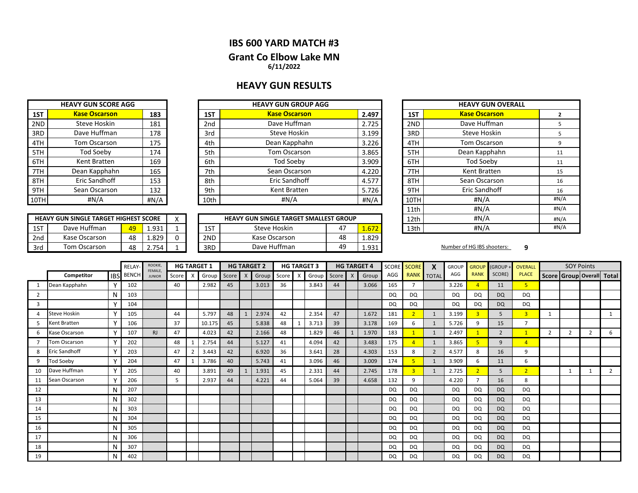## **IBS 600 YARD MATCH #3 Grant Co Elbow Lake MN 6/11/2022**

## **HEAVY GUN RESULTS**

|      | <b>HEAVY GUN SCORE AGG</b> |      |  |  |  |  |  |  |  |  |  |
|------|----------------------------|------|--|--|--|--|--|--|--|--|--|
| 1ST  | <b>Kase Oscarson</b>       | 183  |  |  |  |  |  |  |  |  |  |
| 2ND  | Steve Hoskin               | 181  |  |  |  |  |  |  |  |  |  |
| 3RD  | Dave Huffman               | 178  |  |  |  |  |  |  |  |  |  |
| 4TH  | <b>Tom Oscarson</b>        | 175  |  |  |  |  |  |  |  |  |  |
| 5TH  | <b>Tod Soeby</b>           | 174  |  |  |  |  |  |  |  |  |  |
| 6TH  | Kent Bratten               | 169  |  |  |  |  |  |  |  |  |  |
| 7TH  | Dean Kapphahn              | 165  |  |  |  |  |  |  |  |  |  |
| 8TH  | <b>Eric Sandhoff</b>       | 153  |  |  |  |  |  |  |  |  |  |
| 9TH  | Sean Oscarson              | 132  |  |  |  |  |  |  |  |  |  |
| 10TH | #N/A                       | #N/A |  |  |  |  |  |  |  |  |  |

|      |       | <b>HEAVY GUN GROUP AGG</b> |                 |      | <b>HEAVY GUN SCORE AGG</b> |  |      |
|------|-------|----------------------------|-----------------|------|----------------------------|--|------|
| 1ST  | 2.497 | <b>Kase Oscarson</b>       | 1ST             | 183  | <b>Kase Oscarson</b>       |  | 1ST  |
| 2ND  | 2.725 | Dave Huffman               | 2 <sub>nd</sub> | 181  | Steve Hoskin               |  | 2ND  |
| 3RD  | 3.199 | Steve Hoskin               | 3rd             | 178  | Dave Huffman               |  | 3RD  |
| 4TH  | 3.226 | Dean Kapphahn              | 4th             | 175  | Tom Oscarson               |  | 4TH  |
| 5TH  | 3.865 | Tom Oscarson               | 5th             | 174  | Tod Soeby                  |  | 5TH  |
| 6TH  | 3.909 | Tod Soeby                  | 6th             | 169  | Kent Bratten               |  | 6TH  |
| 7TH  | 4.220 | Sean Oscarson              | 7th             | 165  | Dean Kapphahn              |  | 7TH  |
| 8TH  | 4.577 | Eric Sandhoff              | 8th             | 153  | Eric Sandhoff              |  | 8TH  |
| 9TH  | 5.726 | Kent Bratten               | 9th             | 132  | Sean Oscarson              |  | 9TH  |
| 10TH | #N/A  | #N/A                       | 10th            | #N/A | #N/A                       |  | 10TH |

|     | <b>HEAVY GUN SINGLE TARGET HIGHEST SCORE</b> |    |                | $\cdot$ |     | <b>HEAVY GUN SINGLE TARGET SMALLEST GROUP</b> |    |                  | 12th | #N/A                       |  |
|-----|----------------------------------------------|----|----------------|---------|-----|-----------------------------------------------|----|------------------|------|----------------------------|--|
| 1ST | Dave Huffman                                 | 49 | 1.931          |         | 1ST | Steve Hoskin                                  | 4. | $- - -$<br>1.6/2 | 13th | #N/A                       |  |
| 2nd | Kase Oscarson                                | 48 | 1.829          |         | 2ND | Kase Oscarson                                 | 48 | 1.829            |      |                            |  |
| 3rd | Tom Oscarson                                 | 48 | 754<br><u></u> |         | 3RD | Dave Huffman                                  | 49 | 1.931            |      | Number of HG IBS shooters: |  |

| <b>IEAVY GUN GROUP AGG</b>     |       |       |               | <b>HEAVY GUN OVERALL</b> |                |
|--------------------------------|-------|-------|---------------|--------------------------|----------------|
| <b>Kase Oscarson</b>           |       | 2.497 | 1ST           | <b>Kase Oscarson</b>     | $\overline{2}$ |
| Dave Huffman                   |       | 2.725 | 2ND           | Dave Huffman             | 5              |
| Steve Hoskin                   |       | 3.199 | 3RD           | Steve Hoskin             | 5              |
| Dean Kapphahn                  |       | 3.226 | 4TH           | Tom Oscarson             | 9              |
| Tom Oscarson                   | 3.865 | 5TH   | Dean Kapphahn | 11                       |                |
| Tod Soeby                      |       | 3.909 | 6TH           | <b>Tod Soeby</b>         | 11             |
| Sean Oscarson                  |       | 4.220 | 7TH           | Kent Bratten             | 15             |
| Eric Sandhoff                  |       | 4.577 | 8TH           | Sean Oscarson            | 16             |
| Kent Bratten                   |       | 5.726 | 9TH           | <b>Eric Sandhoff</b>     | 16             |
| #N/A                           |       | #N/A  | 10TH          | #N/A                     | #N/A           |
|                                |       |       | 11th          | # $N/A$                  | #N/A           |
| N SINGLE TARGET SMALLEST GROUP |       |       | 12th          | #N/A                     | #N/A           |
| Steve Hoskin<br>47<br>1.672    |       |       | 13th          | #N/A                     | #N/A           |
|                                |       |       |               |                          |                |

|    |                     |              |                  | ROOKIE,                        |       |          | <b>HG TARGET 1</b> |               |   | <b>HG TARGET 2</b> |    |   | <b>HG TARGET 3</b> |       |   | <b>HG TARGET 4</b> | SCORE     | <b>SCORE</b>   | $\boldsymbol{x}$  | <b>GROUP</b> | <b>GROUP</b>            | (GROUP+        | <b>OVERALL</b> |              |                                 | <b>SOY Points</b> |   |
|----|---------------------|--------------|------------------|--------------------------------|-------|----------|--------------------|---------------|---|--------------------|----|---|--------------------|-------|---|--------------------|-----------|----------------|-------------------|--------------|-------------------------|----------------|----------------|--------------|---------------------------------|-------------------|---|
|    | Competitor          |              | <b>IBS</b> BENCH | <b>FEMALE</b><br><b>JUNIOR</b> | Score | $\times$ |                    | Group Score X |   | Group Score        |    | X | Group              | Score | X | Group              | AGG       |                | <b>RANK</b> TOTAL | AGG          | <b>RANK</b>             | SCORE)         | <b>PLACE</b>   |              | Score   Group   Overall   Total |                   |   |
|    | Dean Kapphahn       | $\checkmark$ | 102              |                                | 40    |          | 2.982              | 45            |   | 3.013              | 36 |   | 3.843              | 44    |   | 3.066              | 165       | $\overline{7}$ |                   | 3.226        | $\overline{A}$          | 11             | 5.             |              |                                 |                   |   |
| 2  |                     | N            | 103              |                                |       |          |                    |               |   |                    |    |   |                    |       |   |                    | DQ        | DQ             |                   | DQ           | DQ                      | <b>DQ</b>      | DQ             |              |                                 |                   |   |
| 3  |                     | $\mathbf v$  | 104              |                                |       |          |                    |               |   |                    |    |   |                    |       |   |                    | DQ        | <b>DQ</b>      |                   | DQ           | <b>DQ</b>               | <b>DQ</b>      | DQ             |              |                                 |                   |   |
|    | <b>Steve Hoskin</b> | $\checkmark$ | 105              |                                | 44    |          | 5.797              | 48            | 1 | 2.974              | 42 |   | 2.354              | 47    |   | 1.672              | 181       |                | 1                 | 3.199        | $\overline{\mathbf{3}}$ | 5              | 3 <sup>1</sup> | $\mathbf{1}$ |                                 |                   |   |
| 5  | Kent Bratten        | $\checkmark$ | 106              |                                | 37    |          | 10.175             | 45            |   | 5.838              | 48 |   | 3.713              | 39    |   | 3.178              | 169       | 6              | $\mathbf{1}$      | 5.726        | q                       | 15             | $\overline{ }$ |              |                                 |                   |   |
| 6  | Kase Oscarson       | Y            | 107              | RJ                             | 47    |          | 4.023              | 42            |   | 2.166              | 48 |   | 1.829              | 46    |   | 1.970              | 183       |                | $\mathbf{1}$      | 2.497        |                         | $\overline{2}$ |                | 2            | 2                               |                   | 6 |
|    | <b>Tom Oscarson</b> | $\checkmark$ | 202              |                                | 48    |          | 2.754              | 44            |   | 5.127              | 41 |   | 4.094              | 42    |   | 3.483              | 175       |                | $\mathbf{1}$      | 3.865        | 5                       | 9              | $\overline{4}$ |              |                                 |                   |   |
| 8  | Eric Sandhoff       | $\checkmark$ | 203              |                                | 47    |          | 3.443              | 42            |   | 6.920              | 36 |   | 3.641              | 28    |   | 4.303              | 153       | 8              | $\overline{2}$    | 4.577        | 8                       | 16             | 9              |              |                                 |                   |   |
| 9  | <b>Tod Soeby</b>    | $\checkmark$ | 204              |                                | 47    |          | 3.786              | 40            |   | 5.743              | 41 |   | 3.096              | 46    |   | 3.009              | 174       | 5              | $\mathbf{1}$      | 3.909        | 6                       | 11             | 6              |              |                                 |                   |   |
| 10 | Dave Huffman        | v            | 205              |                                | 40    |          | 3.891              | 49            |   | 1.931              | 45 |   | 2.331              | 44    |   | 2.745              | 178       |                | 1                 | 2.725        |                         | 5              | $\overline{2}$ |              |                                 |                   |   |
| 11 | Sean Oscarson       |              | 206              |                                | 5     |          | 2.937              | 44            |   | 4.221              | 44 |   | 5.064              | 39    |   | 4.658              | 132       | 9              |                   | 4.220        |                         | 16             | 8              |              |                                 |                   |   |
| 12 |                     | N            | 207              |                                |       |          |                    |               |   |                    |    |   |                    |       |   |                    | <b>DQ</b> | <b>DQ</b>      |                   | <b>DQ</b>    | DQ                      | <b>DQ</b>      | <b>DQ</b>      |              |                                 |                   |   |
| 13 |                     | N            | 302              |                                |       |          |                    |               |   |                    |    |   |                    |       |   |                    | DQ        | <b>DQ</b>      |                   | <b>DQ</b>    | DQ                      | <b>DQ</b>      | DQ             |              |                                 |                   |   |
| 14 |                     | N            | 303              |                                |       |          |                    |               |   |                    |    |   |                    |       |   |                    | DQ        | DQ             |                   | DQ           | DQ                      | <b>DQ</b>      | <b>DQ</b>      |              |                                 |                   |   |
| 15 |                     | N            | 304              |                                |       |          |                    |               |   |                    |    |   |                    |       |   |                    | <b>DQ</b> | <b>DQ</b>      |                   | DQ           | DQ                      | <b>DQ</b>      | <b>DQ</b>      |              |                                 |                   |   |
| 16 |                     | N            | 305              |                                |       |          |                    |               |   |                    |    |   |                    |       |   |                    | <b>DQ</b> | <b>DQ</b>      |                   | <b>DQ</b>    | DQ                      | <b>DQ</b>      | DQ             |              |                                 |                   |   |
| 17 |                     | N            | 306              |                                |       |          |                    |               |   |                    |    |   |                    |       |   |                    | DQ        | <b>DQ</b>      |                   | DQ           | DQ                      | <b>DQ</b>      | <b>DQ</b>      |              |                                 |                   |   |
| 18 |                     | N            | 307              |                                |       |          |                    |               |   |                    |    |   |                    |       |   |                    | DQ.       | DQ             |                   | DQ.          | DQ                      | <b>DQ</b>      | <b>DQ</b>      |              |                                 |                   |   |
| 19 |                     | N            | 402              |                                |       |          |                    |               |   |                    |    |   |                    |       |   |                    | DQ        | DQ             |                   | <b>DQ</b>    | DQ                      | <b>DQ</b>      | DQ             |              |                                 |                   |   |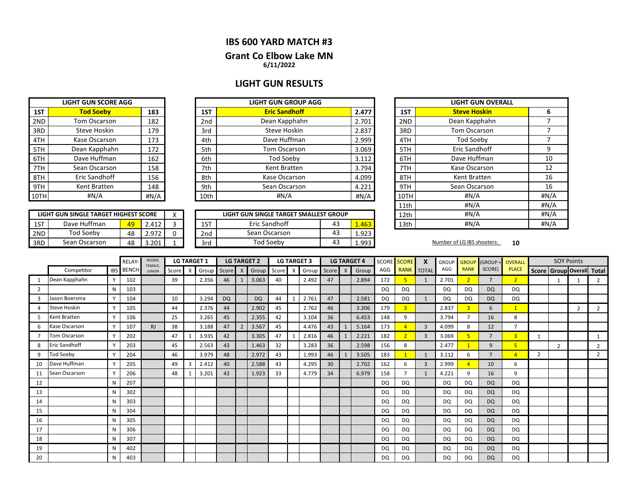### **IBS 600 YARD MATCH #3**

# **Grant Co Elbow Lake MN**

**6/11/2022**

# **LIGHT GUN RESULTS**

|      | <b>LIGHT GUN SCORE AGG</b> |      |
|------|----------------------------|------|
| 1ST  | <b>Tod Soeby</b>           | 183  |
| 2ND  | <b>Tom Oscarson</b>        | 182  |
| 3RD  | Steve Hoskin               | 179  |
| 4TH  | Kase Oscarson              | 173  |
| 5TH  | Dean Kapphahn              | 172  |
| 6TH  | Dave Huffman               | 162  |
| 7TH  | Sean Oscarson              | 158  |
| 8TH  | Eric Sandhoff              | 156  |
| 9TH  | Kent Bratten               | 148  |
| 10TH | #N/A                       | #N/A |

|      | <b>LIGHT GUN SCORE AGG</b> |      |                 | <b>LIGHT GUN GROUP AGG</b> |       |      |                     |  |
|------|----------------------------|------|-----------------|----------------------------|-------|------|---------------------|--|
| 1ST  | <b>Tod Soeby</b>           | 183  | 1ST             | <b>Eric Sandhoff</b>       | 2.477 | 1ST  | <b>Steve Hoskin</b> |  |
| 2ND  | Tom Oscarson               | 182  | 2 <sub>nd</sub> | Dean Kapphahn              | 2.701 | 2ND  | Dean Kapphahı       |  |
| 3RD  | Steve Hoskin               | 179  | 3rd             | Steve Hoskin               | 2.837 | 3RD  | <b>Tom Oscarson</b> |  |
| 4TH  | Kase Oscarson              | 173  | 4th             | Dave Huffman               | 2.999 | 4TH  |                     |  |
| 5TH  | Dean Kapphahn              | 172  | 5th             | Tom Oscarson               | 3.069 | 5TH  | Eric Sandhoff       |  |
| 6TH  | Dave Huffman               | 162  | 6th             | Tod Soeby                  | 3.112 | 6TH  | Dave Huffman        |  |
| 7TH  | Sean Oscarson              | 158  | 7th             | Kent Bratten               | 3.794 | 7TH  | Kase Oscarson       |  |
| 8TH  | Eric Sandhoff              | 156  | 8th             | Kase Oscarson              | 4.099 | 8TH  | Kent Bratten        |  |
| 9TH  | Kent Bratten               | 148  | 9th             | Sean Oscarson              | 4.221 | 9TH  | Sean Oscarson       |  |
| 10TH | #N/A                       | #N/A | 10th            | #N/A                       | #N/A  | 10TH |                     |  |

|     | LIGHT GUN SINGLE TARGET HIGHEST SCORE |    |              | $\lambda$ |                       | LIGHT GUN SINGLE TARGET SMALLEST GROUP | 12th | #N/A  |      |                            |    |
|-----|---------------------------------------|----|--------------|-----------|-----------------------|----------------------------------------|------|-------|------|----------------------------|----|
| 1ST | Dave Huffman                          | 49 | 112<br>2.41Z |           | 1 <sub>CT</sub><br>د⊥ | Eric Sandhoff                          | 43   | .463  | 13th | #N/A                       |    |
| 2ND | Tod Soeby                             | 48 | 2.972        |           | 2 <sub>nd</sub>       | Sean Oscarson                          | 43   | 1.923 |      |                            |    |
| 3RD | Sean Oscarson                         | 48 | 3.201        |           | 3rd                   | Tod Soeby                              | 43   | 1.993 |      | Number of LG IBS shooters: | 10 |

| <b>LIGHT GUN OVERALL</b> |                     |      |  |  |  |  |  |  |  |
|--------------------------|---------------------|------|--|--|--|--|--|--|--|
| 1ST                      | <b>Steve Hoskin</b> | 6    |  |  |  |  |  |  |  |
| 2ND                      | Dean Kapphahn       | 7    |  |  |  |  |  |  |  |
| 3RD                      | Tom Oscarson        | 7    |  |  |  |  |  |  |  |
| 4TH                      | <b>Tod Soeby</b>    | 7    |  |  |  |  |  |  |  |
| 5TH                      | Eric Sandhoff       | 9    |  |  |  |  |  |  |  |
| 6TH                      | Dave Huffman        | 10   |  |  |  |  |  |  |  |
| 7TH                      | Kase Oscarson       | 12   |  |  |  |  |  |  |  |
| 8TH                      | Kent Bratten        | 16   |  |  |  |  |  |  |  |
| 9TH                      | Sean Oscarson       | 16   |  |  |  |  |  |  |  |
| 10TH                     | #N/A                | #N/A |  |  |  |  |  |  |  |
| 11th                     | #N/A                | #N/A |  |  |  |  |  |  |  |
| 12th                     | #N/A                | #N/A |  |  |  |  |  |  |  |
| 13th                     | #N/A                | #N/A |  |  |  |  |  |  |  |

|                | ROOKIE,<br><b>RFIAY</b> |              | <b>LG TARGET 1</b> |                          | <b>LG TARGET 2</b> |          | <b>LG TARGET 3</b> |           | <b>LG TARGET 4</b> |                           | <b>SCORE</b> | <b>SCORE</b> | X     | <b>GROUP</b>    | <b>GROUP</b> | (GROUP+ | <b>OVERALL</b> |                | <b>SOY Points</b> |           |                |                |                |                |                |                           |
|----------------|-------------------------|--------------|--------------------|--------------------------|--------------------|----------|--------------------|-----------|--------------------|---------------------------|--------------|--------------|-------|-----------------|--------------|---------|----------------|----------------|-------------------|-----------|----------------|----------------|----------------|----------------|----------------|---------------------------|
|                | Competitor              |              | IBS BENCH          | FEMALE,<br><b>JUNIOR</b> | Score              | $\times$ |                    |           |                    | Group Score X Group Score |              |              | Group | Score           | $\mathsf{X}$ | Group   | AGG            | <b>RANK</b>    | <b>TOTAL</b>      | AGG       | <b>RANK</b>    | SCORE)         | <b>PLACE</b>   |                |                | Score Group Overall Total |
|                | Dean Kapphahn           | Y            | 102                |                          | 39                 |          | 2.356              | 46        | 1                  | 3.063                     | 40           |              | 2.492 | 47              |              | 2.894   | 172            |                | 1                 | 2.701     |                | $\overline{7}$ | $\overline{2}$ |                |                |                           |
| $\overline{2}$ |                         | N            | 103                |                          |                    |          |                    |           |                    |                           |              |              |       |                 |              |         | DQ             | <b>DQ</b>      |                   | <b>DQ</b> | DQ             | <b>DQ</b>      | DQ             |                |                |                           |
| 3              | Jason Boersma           | Y            | 104                |                          | 10                 |          | 3.294              | <b>DQ</b> |                    | <b>DQ</b>                 | 44           |              | 2.761 | 47              |              | 2.581   | DQ             | <b>DQ</b>      | 1                 | DQ        | DQ             | <b>DQ</b>      | <b>DQ</b>      |                |                |                           |
|                | <b>Steve Hoskin</b>     | Y            | 105                |                          | 44                 |          | 2.376              | 44        |                    | 2.902                     | 45           |              | 2.762 | 46              |              | 3.306   | 179            | $\overline{3}$ |                   | 2.837     | $\overline{3}$ | 6              |                |                |                |                           |
| 5.             | Kent Bratten            | Y            | 106                |                          | 25                 |          | 3.265              | 45        |                    | 2.355                     | 42           |              | 3.104 | 36              |              | 6.453   | 148            | 9              |                   | 3.794     |                | 16             | 8              |                |                |                           |
| 6              | Kase Oscarson           | Y            | 107                | RJ                       | 38                 |          | 3.188              | 47        | $\overline{2}$     | 3.567                     | 45           |              | 4.476 | 43              |              | 5.164   | 173            | z              | $\overline{3}$    | 4.099     | 8              | 12             | $\overline{ }$ |                |                |                           |
|                | Tom Oscarson            | Y            | 202                |                          | 47                 |          | 3.935              | 42        |                    | 3.305                     | 47           |              | 2.816 | 46              |              | 2.221   | 182            | $\overline{2}$ | $\overline{3}$    | 3.069     | 5              | $\overline{7}$ | $\overline{3}$ |                |                |                           |
| 8              | Eric Sandhoff           | Y            | 203                |                          | 45                 |          | 2.563              | 43        |                    | 1.463                     | 32           |              | 3.283 | 36              |              | 2.598   | 156            | 8              |                   | 2.477     |                | 9              | 5              |                | $\overline{2}$ |                           |
| 9              | <b>Tod Soeby</b>        | $\checkmark$ | 204                |                          | 46                 |          | 3.979              | 48        |                    | 2.972                     | 43           |              | 1.993 | 46              |              | 3.505   | 183            |                | 1                 | 3.112     | 6              | $\overline{7}$ | $\overline{4}$ | $\overline{2}$ |                | $\overline{2}$            |
| 10             | Dave Huffman            | Y            | 205                |                          | 49                 | 3        | 2.412              | 40        |                    | 2.588                     | 43           |              | 4.295 | 30 <sup>°</sup> |              | 2.702   | 162            | 6              | $\overline{3}$    | 2.999     | $\overline{A}$ | 10             | 6              |                |                |                           |
| 11             | Sean Oscarson           |              | 206                |                          | 48                 |          | 3.201              | 43        |                    | 1.923                     | 33           |              | 4.779 | 34              |              | 6.979   | 158            |                | $\mathbf{1}$      | 4.221     | q              | 16             | 9              |                |                |                           |
| 12             |                         | N            | 207                |                          |                    |          |                    |           |                    |                           |              |              |       |                 |              |         | DQ             | DQ             |                   | DQ        | <b>DQ</b>      | <b>DQ</b>      | <b>DQ</b>      |                |                |                           |
| 13             |                         | N            | 302                |                          |                    |          |                    |           |                    |                           |              |              |       |                 |              |         | DQ.            | DQ             |                   | DQ.       | DQ             | <b>DQ</b>      | DQ             |                |                |                           |
| 14             |                         | N            | 303                |                          |                    |          |                    |           |                    |                           |              |              |       |                 |              |         | DQ             | DQ             |                   | DQ        | DQ             | <b>DQ</b>      | <b>DQ</b>      |                |                |                           |
| 15             |                         | N            | 304                |                          |                    |          |                    |           |                    |                           |              |              |       |                 |              |         | DQ             | <b>DQ</b>      |                   | DQ        | DQ             | <b>DQ</b>      | <b>DQ</b>      |                |                |                           |
| 16             |                         | N            | 305                |                          |                    |          |                    |           |                    |                           |              |              |       |                 |              |         | DQ             | DQ             |                   | <b>DQ</b> | <b>DQ</b>      | <b>DQ</b>      | <b>DQ</b>      |                |                |                           |
| 17             |                         |              | 306                |                          |                    |          |                    |           |                    |                           |              |              |       |                 |              |         | DQ             | <b>DQ</b>      |                   | <b>DQ</b> | <b>DQ</b>      | <b>DQ</b>      | <b>DQ</b>      |                |                |                           |
| 18             |                         | N            | 307                |                          |                    |          |                    |           |                    |                           |              |              |       |                 |              |         | DQ             | DQ             |                   | DQ        | DQ             | <b>DQ</b>      | DQ             |                |                |                           |
| 19             |                         | N            | 402                |                          |                    |          |                    |           |                    |                           |              |              |       |                 |              |         | DQ             | <b>DQ</b>      |                   | DQ        | <b>DQ</b>      | <b>DQ</b>      | <b>DQ</b>      |                |                |                           |
| 20             |                         | $\mathsf{N}$ | 403                |                          |                    |          |                    |           |                    |                           |              |              |       |                 |              |         | DQ             | DQ             |                   | <b>DQ</b> | <b>DQ</b>      | <b>DQ</b>      | <b>DQ</b>      |                |                |                           |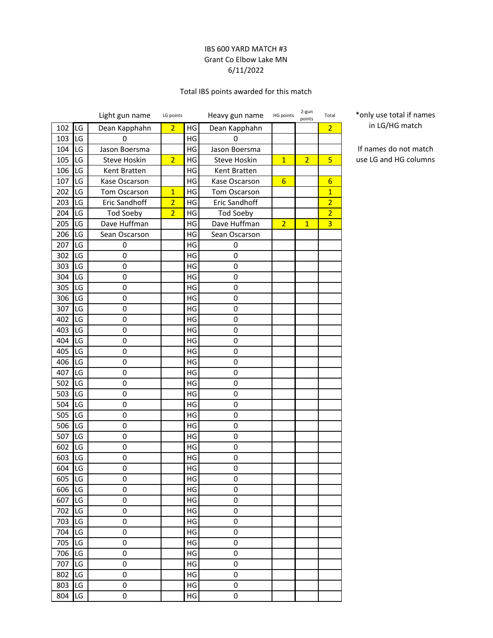### IBS 600 YARD MATCH #3 Grant Co Elbow Lake MN 6/11/2022

### Total IBS points awarded for this match

|     |            | Light gun name      | LG points      |               | Heavy gun name   | HG points       | 2-gun<br>points | Total                   |
|-----|------------|---------------------|----------------|---------------|------------------|-----------------|-----------------|-------------------------|
| 102 | LG         | Dean Kapphahn       | $\overline{2}$ | HG            | Dean Kapphahn    |                 |                 | $\overline{2}$          |
| 103 | LG         | 0                   |                | HG            | 0                |                 |                 |                         |
| 104 | LG         | Jason Boersma       |                | HG            | Jason Boersma    |                 |                 |                         |
| 105 | LG         | Steve Hoskin        | $\overline{2}$ | HG            | Steve Hoskin     | $\overline{1}$  | $\overline{2}$  | 5                       |
| 106 | LG         | Kent Bratten        |                | HG            | Kent Bratten     |                 |                 |                         |
| 107 | LG         | Kase Oscarson       |                | HG            | Kase Oscarson    | $6\overline{6}$ |                 | $6\overline{6}$         |
| 202 | LG         | <b>Tom Oscarson</b> | $\overline{1}$ | HG            | Tom Oscarson     |                 |                 | $\mathbf{1}$            |
| 203 | LG         | Eric Sandhoff       | $\overline{2}$ | HG            | Eric Sandhoff    |                 |                 | $\overline{2}$          |
| 204 | LG         | <b>Tod Soeby</b>    | $\overline{2}$ | HG            | <b>Tod Soeby</b> |                 |                 | $\overline{2}$          |
| 205 | LG         | Dave Huffman        |                | HG            | Dave Huffman     | $\overline{2}$  | $\overline{1}$  | $\overline{\mathbf{3}}$ |
| 206 | LG         | Sean Oscarson       |                | HG            | Sean Oscarson    |                 |                 |                         |
| 207 | LG         | 0                   |                | HG            | 0                |                 |                 |                         |
| 302 | LG         | 0                   |                | HG            | 0                |                 |                 |                         |
| 303 | LG         | 0                   |                | HG            | 0                |                 |                 |                         |
| 304 | LG         | 0                   |                | HG            | 0                |                 |                 |                         |
| 305 | LG         | 0                   |                | HG            | 0                |                 |                 |                         |
| 306 | LG         | 0                   |                | HG            | 0                |                 |                 |                         |
| 307 | LG         | $\mathbf 0$         |                | HG            | 0                |                 |                 |                         |
| 402 | LG         | 0                   |                | HG            | 0                |                 |                 |                         |
| 403 | LG         | 0                   |                | HG            | 0                |                 |                 |                         |
| 404 | LG         | 0                   |                | HG            | 0                |                 |                 |                         |
| 405 | LG         | 0                   |                | HG            | 0                |                 |                 |                         |
| 406 | LG         | $\mathbf 0$         |                | HG            | 0                |                 |                 |                         |
| 407 | LG         | 0                   |                | HG            | 0                |                 |                 |                         |
| 502 | LG         | $\mathbf 0$         |                | HG            | 0                |                 |                 |                         |
| 503 | LG         | 0                   |                | HG            | 0                |                 |                 |                         |
| 504 | LG         | 0                   |                | HG            | 0                |                 |                 |                         |
| 505 | LG         | $\mathbf 0$         |                | HG            | 0                |                 |                 |                         |
| 506 | LG         | 0                   |                | HG            | 0                |                 |                 |                         |
| 507 | LG         | 0                   |                | HG            | 0                |                 |                 |                         |
| 602 | LG         | 0                   |                | HG            | 0                |                 |                 |                         |
| 603 | LG         | 0                   |                | HG            | 0                |                 |                 |                         |
| 604 | <b>ILG</b> | $\mathbf 0$         |                | $\mathsf{HG}$ | $\mathbf 0$      |                 |                 |                         |
| 605 | LG         | 0                   |                | HG            | 0                |                 |                 |                         |
| 606 | LG         | $\mathsf 0$         |                | HG            | 0                |                 |                 |                         |
| 607 | LG         | 0                   |                | HG            | 0                |                 |                 |                         |
| 702 | LG         | 0                   |                | HG            | 0                |                 |                 |                         |
| 703 | LG         | $\mathbf 0$         |                | HG            | 0                |                 |                 |                         |
| 704 | LG         | 0                   |                | HG            | 0                |                 |                 |                         |
| 705 | LG         | $\mathsf 0$         |                | HG            | 0                |                 |                 |                         |
| 706 | LG         | 0                   |                | HG            | 0                |                 |                 |                         |
| 707 | LG         | $\mathsf 0$         |                | HG            | 0                |                 |                 |                         |
| 802 | LG         | $\mathsf 0$         |                | HG            | 0                |                 |                 |                         |
| 803 | LG         | 0                   |                | HG            | 0                |                 |                 |                         |
| 804 | LG         | $\mathsf 0$         |                | HG            | 0                |                 |                 |                         |

\*only use total if names in LG/HG match

If names do not match use LG and HG columns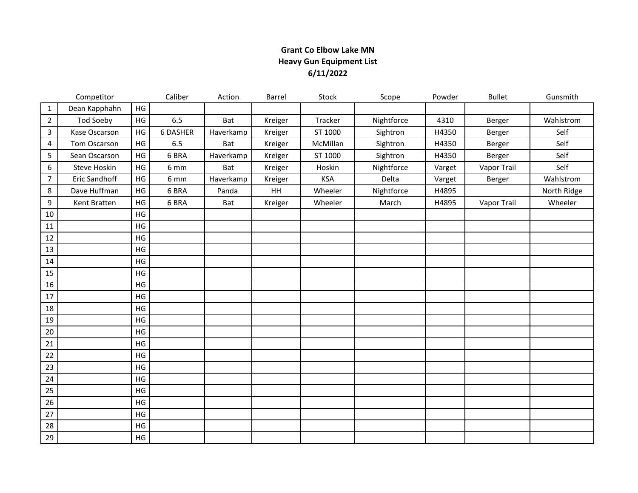## **Grant Co Elbow Lake MN Heavy Gun Equipment List 6/11/2022**

|                | Competitor    |               | Caliber         | Action     | Barrel  | Stock      | Scope      | Powder | <b>Bullet</b> | Gunsmith    |
|----------------|---------------|---------------|-----------------|------------|---------|------------|------------|--------|---------------|-------------|
| $\mathbf{1}$   | Dean Kapphahn | HG            |                 |            |         |            |            |        |               |             |
| $\overline{2}$ | Tod Soeby     | HG            | 6.5             | Bat        | Kreiger | Tracker    | Nightforce | 4310   | Berger        | Wahlstrom   |
| 3              | Kase Oscarson | HG            | <b>6 DASHER</b> | Haverkamp  | Kreiger | ST 1000    | Sightron   | H4350  | Berger        | Self        |
| 4              | Tom Oscarson  | HG            | 6.5             | <b>Bat</b> | Kreiger | McMillan   | Sightron   | H4350  | Berger        | Self        |
| 5              | Sean Oscarson | HG            | 6 BRA           | Haverkamp  | Kreiger | ST 1000    | Sightron   | H4350  | Berger        | Self        |
| 6              | Steve Hoskin  | HG            | 6 mm            | Bat        | Kreiger | Hoskin     | Nightforce | Varget | Vapor Trail   | Self        |
| $\overline{7}$ | Eric Sandhoff | HG            | 6 mm            | Haverkamp  | Kreiger | <b>KSA</b> | Delta      | Varget | Berger        | Wahlstrom   |
| 8              | Dave Huffman  | HG            | 6 BRA           | Panda      | HH      | Wheeler    | Nightforce | H4895  |               | North Ridge |
| 9              | Kent Bratten  | HG            | 6 BRA           | Bat        | Kreiger | Wheeler    | March      | H4895  | Vapor Trail   | Wheeler     |
| 10             |               | HG            |                 |            |         |            |            |        |               |             |
| 11             |               | HG            |                 |            |         |            |            |        |               |             |
| 12             |               | HG            |                 |            |         |            |            |        |               |             |
| 13             |               | HG            |                 |            |         |            |            |        |               |             |
| 14             |               | HG            |                 |            |         |            |            |        |               |             |
| 15             |               | HG            |                 |            |         |            |            |        |               |             |
| 16             |               | $\mathsf{HG}$ |                 |            |         |            |            |        |               |             |
| 17             |               | HG            |                 |            |         |            |            |        |               |             |
| 18             |               | HG            |                 |            |         |            |            |        |               |             |
| 19             |               | HG            |                 |            |         |            |            |        |               |             |
| 20             |               | $\mathsf{HG}$ |                 |            |         |            |            |        |               |             |
| 21             |               | HG            |                 |            |         |            |            |        |               |             |
| 22             |               | HG            |                 |            |         |            |            |        |               |             |
| 23             |               | HG            |                 |            |         |            |            |        |               |             |
| 24             |               | HG            |                 |            |         |            |            |        |               |             |
| 25             |               | HG            |                 |            |         |            |            |        |               |             |
| 26             |               | HG            |                 |            |         |            |            |        |               |             |
| 27             |               | HG            |                 |            |         |            |            |        |               |             |
| 28             |               | HG            |                 |            |         |            |            |        |               |             |
| 29             |               | HG            |                 |            |         |            |            |        |               |             |